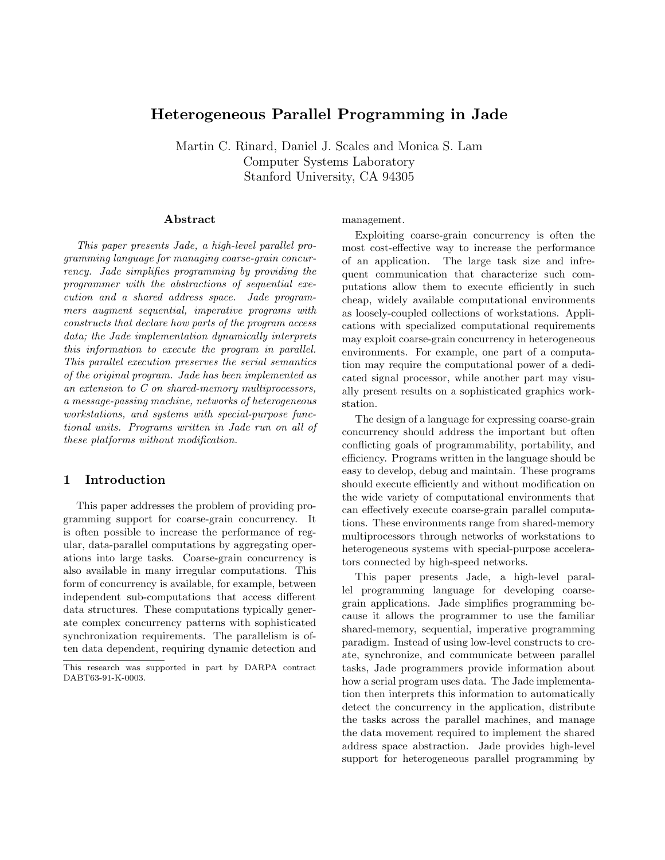# **Heterogeneous Parallel Programming in Jade**

Martin C. Rinard, Daniel J. Scales and Monica S. Lam Computer Systems Laboratory Stanford University, CA 94305

#### **Abstract**

*This paper presents Jade, a high-level parallel programming language for managing coarse-grain concurrency. Jade simplifies programming by providing the programmer with the abstractions of sequential execution and a shared address space. Jade programmers augment sequential, imperative programs with constructs that declare how parts of the program access data; the Jade implementation dynamically interprets this information to execute the program in parallel. This parallel execution preserves the serial semantics of the original program. Jade has been implemented as an extension to C on shared-memory multiprocessors, a message-passing machine, networks of heterogeneous workstations, and systems with special-purpose functional units. Programs written in Jade run on all of these platforms without modification.*

### **1 Introduction**

This paper addresses the problem of providing programming support for coarse-grain concurrency. It is often possible to increase the performance of regular, data-parallel computations by aggregating operations into large tasks. Coarse-grain concurrency is also available in many irregular computations. This form of concurrency is available, for example, between independent sub-computations that access different data structures. These computations typically generate complex concurrency patterns with sophisticated synchronization requirements. The parallelism is often data dependent, requiring dynamic detection and management.

Exploiting coarse-grain concurrency is often the most cost-effective way to increase the performance of an application. The large task size and infrequent communication that characterize such computations allow them to execute efficiently in such cheap, widely available computational environments as loosely-coupled collections of workstations. Applications with specialized computational requirements may exploit coarse-grain concurrency in heterogeneous environments. For example, one part of a computation may require the computational power of a dedicated signal processor, while another part may visually present results on a sophisticated graphics workstation.

The design of a language for expressing coarse-grain concurrency should address the important but often conflicting goals of programmability, portability, and efficiency. Programs written in the language should be easy to develop, debug and maintain. These programs should execute efficiently and without modification on the wide variety of computational environments that can effectively execute coarse-grain parallel computations. These environments range from shared-memory multiprocessors through networks of workstations to heterogeneous systems with special-purpose accelerators connected by high-speed networks.

This paper presents Jade, a high-level parallel programming language for developing coarsegrain applications. Jade simplifies programming because it allows the programmer to use the familiar shared-memory, sequential, imperative programming paradigm. Instead of using low-level constructs to create, synchronize, and communicate between parallel tasks, Jade programmers provide information about how a serial program uses data. The Jade implementation then interprets this information to automatically detect the concurrency in the application, distribute the tasks across the parallel machines, and manage the data movement required to implement the shared address space abstraction. Jade provides high-level support for heterogeneous parallel programming by

This research was supported in part by DARPA contract DABT63-91-K-0003.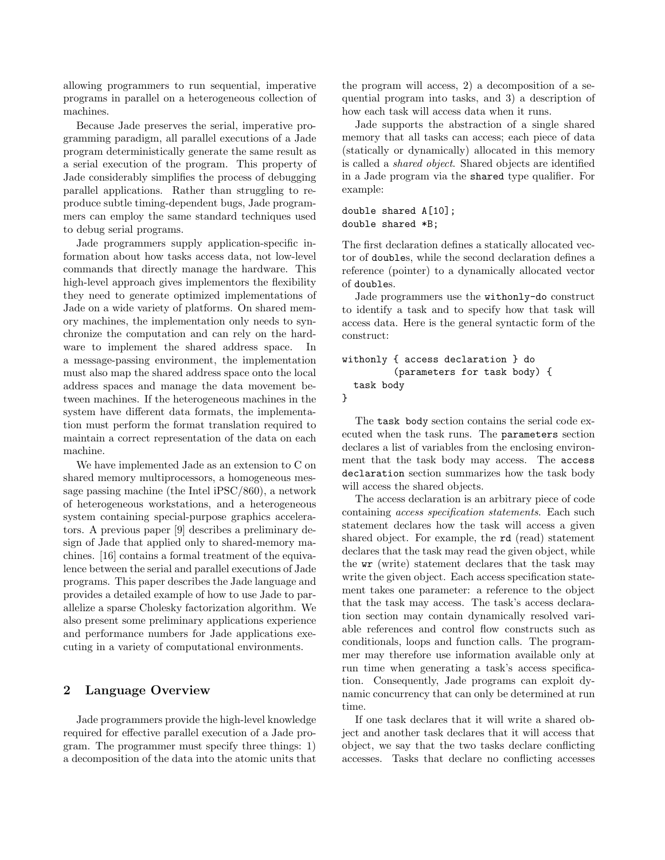allowing programmers to run sequential, imperative programs in parallel on a heterogeneous collection of machines.

Because Jade preserves the serial, imperative programming paradigm, all parallel executions of a Jade program deterministically generate the same result as a serial execution of the program. This property of Jade considerably simplifies the process of debugging parallel applications. Rather than struggling to reproduce subtle timing-dependent bugs, Jade programmers can employ the same standard techniques used to debug serial programs.

Jade programmers supply application-specific information about how tasks access data, not low-level commands that directly manage the hardware. This high-level approach gives implementors the flexibility they need to generate optimized implementations of Jade on a wide variety of platforms. On shared memory machines, the implementation only needs to synchronize the computation and can rely on the hardware to implement the shared address space. In a message-passing environment, the implementation must also map the shared address space onto the local address spaces and manage the data movement between machines. If the heterogeneous machines in the system have different data formats, the implementation must perform the format translation required to maintain a correct representation of the data on each machine.

We have implemented Jade as an extension to C on shared memory multiprocessors, a homogeneous message passing machine (the Intel iPSC/860), a network of heterogeneous workstations, and a heterogeneous system containing special-purpose graphics accelerators. A previous paper [9] describes a preliminary design of Jade that applied only to shared-memory machines. [16] contains a formal treatment of the equivalence between the serial and parallel executions of Jade programs. This paper describes the Jade language and provides a detailed example of how to use Jade to parallelize a sparse Cholesky factorization algorithm. We also present some preliminary applications experience and performance numbers for Jade applications executing in a variety of computational environments.

## **2 Language Overview**

Jade programmers provide the high-level knowledge required for effective parallel execution of a Jade program. The programmer must specify three things: 1) a decomposition of the data into the atomic units that the program will access, 2) a decomposition of a sequential program into tasks, and 3) a description of how each task will access data when it runs.

Jade supports the abstraction of a single shared memory that all tasks can access; each piece of data (statically or dynamically) allocated in this memory is called a *shared object*. Shared objects are identified in a Jade program via the shared type qualifier. For example:

```
double shared A[10];
double shared *B;
```
The first declaration defines a statically allocated vector of doubles, while the second declaration defines a reference (pointer) to a dynamically allocated vector of doubles.

Jade programmers use the withonly-do construct to identify a task and to specify how that task will access data. Here is the general syntactic form of the construct:

```
withonly { access declaration } do
         (parameters for task body) {
  task body
```
}

The task body section contains the serial code executed when the task runs. The parameters section declares a list of variables from the enclosing environment that the task body may access. The access declaration section summarizes how the task body will access the shared objects.

The access declaration is an arbitrary piece of code containing *access specification statements*. Each such statement declares how the task will access a given shared object. For example, the rd (read) statement declares that the task may read the given object, while the wr (write) statement declares that the task may write the given object. Each access specification statement takes one parameter: a reference to the object that the task may access. The task's access declaration section may contain dynamically resolved variable references and control flow constructs such as conditionals, loops and function calls. The programmer may therefore use information available only at run time when generating a task's access specification. Consequently, Jade programs can exploit dynamic concurrency that can only be determined at run time.

If one task declares that it will write a shared object and another task declares that it will access that object, we say that the two tasks declare conflicting accesses. Tasks that declare no conflicting accesses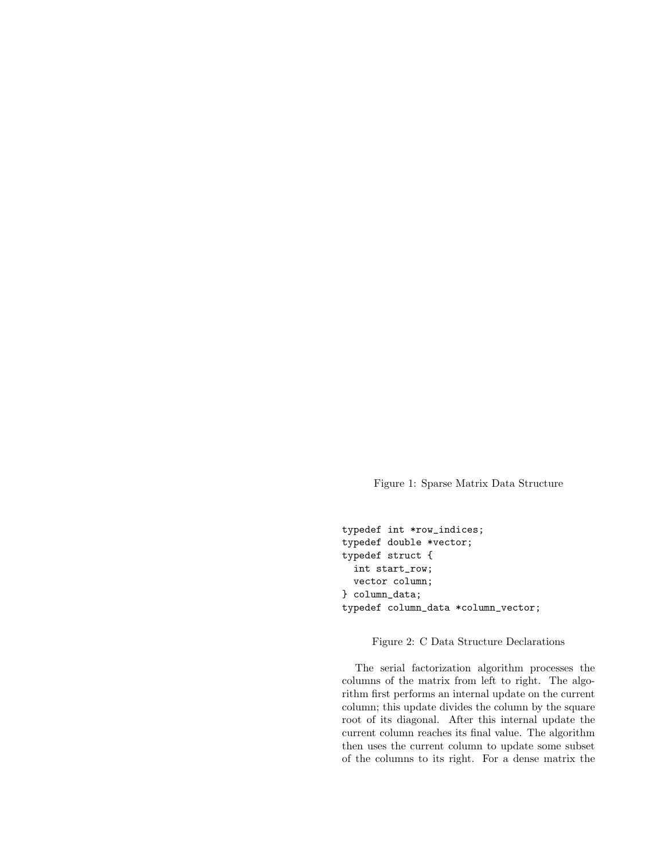Figure 1: Sparse Matrix Data Structure

```
typedef int *row_indices;
typedef double *vector;
typedef struct {
  int start_row;
  vector column;
} column_data;
typedef column_data *column_vector;
```
Figure 2: C Data Structure Declarations

The serial factorization algorithm processes the columns of the matrix from left to right. The algorithm first performs an internal update on the current column; this update divides the column by the square root of its diagonal. After this internal update the current column reaches its final value. The algorithm then uses the current column to update some subset of the columns to its right. For a dense matrix the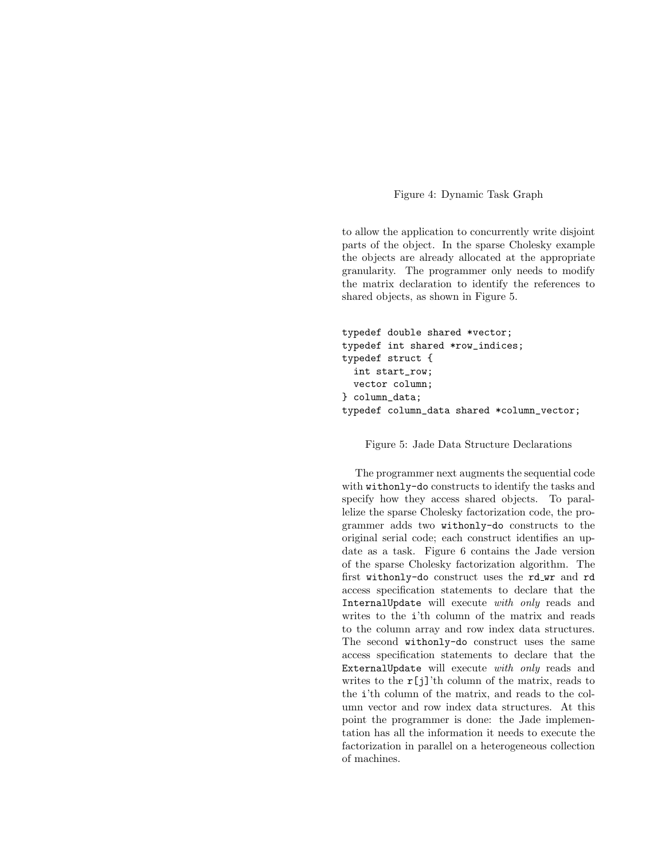#### Figure 4: Dynamic Task Graph

to allow the application to concurrently write disjoint parts of the object. In the sparse Cholesky example the objects are already allocated at the appropriate granularity. The programmer only needs to modify the matrix declaration to identify the references to shared objects, as shown in Figure 5.

```
typedef double shared *vector;
typedef int shared *row_indices;
typedef struct {
 int start_row;
  vector column;
} column_data;
typedef column_data shared *column_vector;
```
Figure 5: Jade Data Structure Declarations

The programmer next augments the sequential code with withonly-do constructs to identify the tasks and specify how they access shared objects. To parallelize the sparse Cholesky factorization code, the programmer adds two withonly-do constructs to the original serial code; each construct identifies an update as a task. Figure 6 contains the Jade version of the sparse Cholesky factorization algorithm. The first withonly-do construct uses the rd\_wr and rd access specification statements to declare that the InternalUpdate will execute *with only* reads and writes to the i'th column of the matrix and reads to the column array and row index data structures. The second withonly-do construct uses the same access specification statements to declare that the ExternalUpdate will execute *with only* reads and writes to the  $r[j]$ 'th column of the matrix, reads to the i'th column of the matrix, and reads to the column vector and row index data structures. At this point the programmer is done: the Jade implementation has all the information it needs to execute the factorization in parallel on a heterogeneous collection of machines.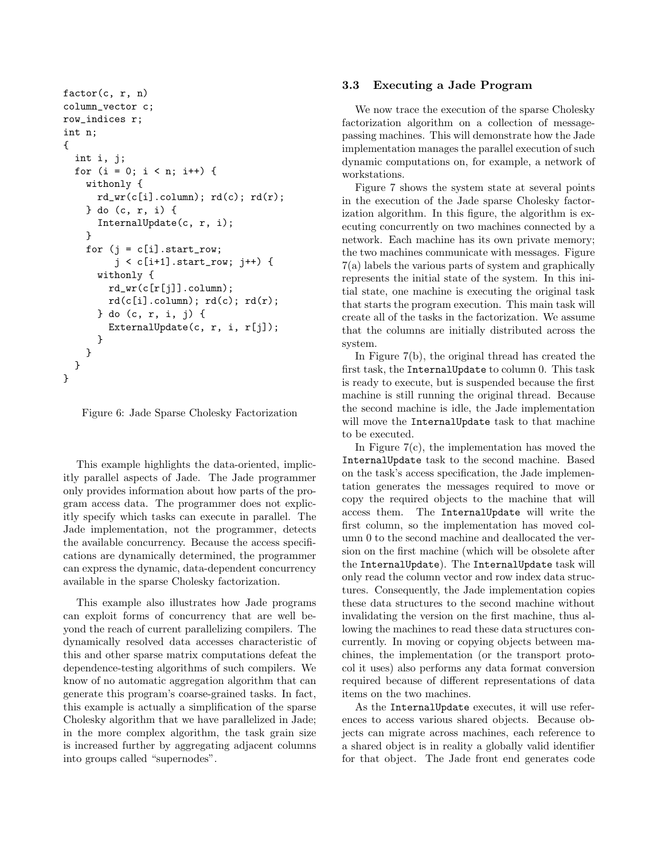```
factor(c, r, n)
column_vector c;
row_indices r;
int n;
{
  int i, j;
  for (i = 0; i < n; i++) {
    withonly {
      rd\_wr(c[i].column); rd(c); rd(r);} do (c, r, i) {
      InternalUpdate(c, r, i);
    }
    for (j = c[i].start\_row;j < c[i+1].start_row; j++) {
      withonly {
        rd\_wr(c[r[j]].colum);rd(c[i].column); rd(c); rd(r);} do (c, r, i, j) {
        ExternalUpdate(c, r, i, r[j]);
      }
    }
  }
}
```
Figure 6: Jade Sparse Cholesky Factorization

This example highlights the data-oriented, implicitly parallel aspects of Jade. The Jade programmer only provides information about how parts of the program access data. The programmer does not explicitly specify which tasks can execute in parallel. The Jade implementation, not the programmer, detects the available concurrency. Because the access specifications are dynamically determined, the programmer can express the dynamic, data-dependent concurrency available in the sparse Cholesky factorization.

This example also illustrates how Jade programs can exploit forms of concurrency that are well beyond the reach of current parallelizing compilers. The dynamically resolved data accesses characteristic of this and other sparse matrix computations defeat the dependence-testing algorithms of such compilers. We know of no automatic aggregation algorithm that can generate this program's coarse-grained tasks. In fact, this example is actually a simplification of the sparse Cholesky algorithm that we have parallelized in Jade; in the more complex algorithm, the task grain size is increased further by aggregating adjacent columns into groups called "supernodes".

### **3.3 Executing a Jade Program**

We now trace the execution of the sparse Cholesky factorization algorithm on a collection of messagepassing machines. This will demonstrate how the Jade implementation manages the parallel execution of such dynamic computations on, for example, a network of workstations.

Figure 7 shows the system state at several points in the execution of the Jade sparse Cholesky factorization algorithm. In this figure, the algorithm is executing concurrently on two machines connected by a network. Each machine has its own private memory; the two machines communicate with messages. Figure 7(a) labels the various parts of system and graphically represents the initial state of the system. In this initial state, one machine is executing the original task that starts the program execution. This main task will create all of the tasks in the factorization. We assume that the columns are initially distributed across the system.

In Figure 7(b), the original thread has created the first task, the InternalUpdate to column 0. This task is ready to execute, but is suspended because the first machine is still running the original thread. Because the second machine is idle, the Jade implementation will move the InternalUpdate task to that machine to be executed.

In Figure 7(c), the implementation has moved the InternalUpdate task to the second machine. Based on the task's access specification, the Jade implementation generates the messages required to move or copy the required objects to the machine that will access them. The InternalUpdate will write the first column, so the implementation has moved column 0 to the second machine and deallocated the version on the first machine (which will be obsolete after the InternalUpdate). The InternalUpdate task will only read the column vector and row index data structures. Consequently, the Jade implementation copies these data structures to the second machine without invalidating the version on the first machine, thus allowing the machines to read these data structures concurrently. In moving or copying objects between machines, the implementation (or the transport protocol it uses) also performs any data format conversion required because of different representations of data items on the two machines.

As the InternalUpdate executes, it will use references to access various shared objects. Because objects can migrate across machines, each reference to a shared object is in reality a globally valid identifier for that object. The Jade front end generates code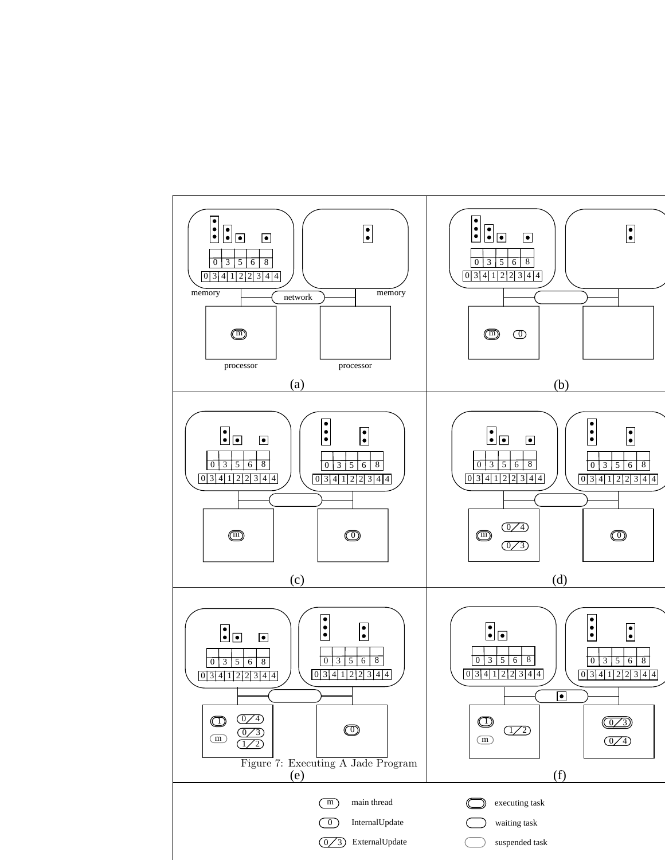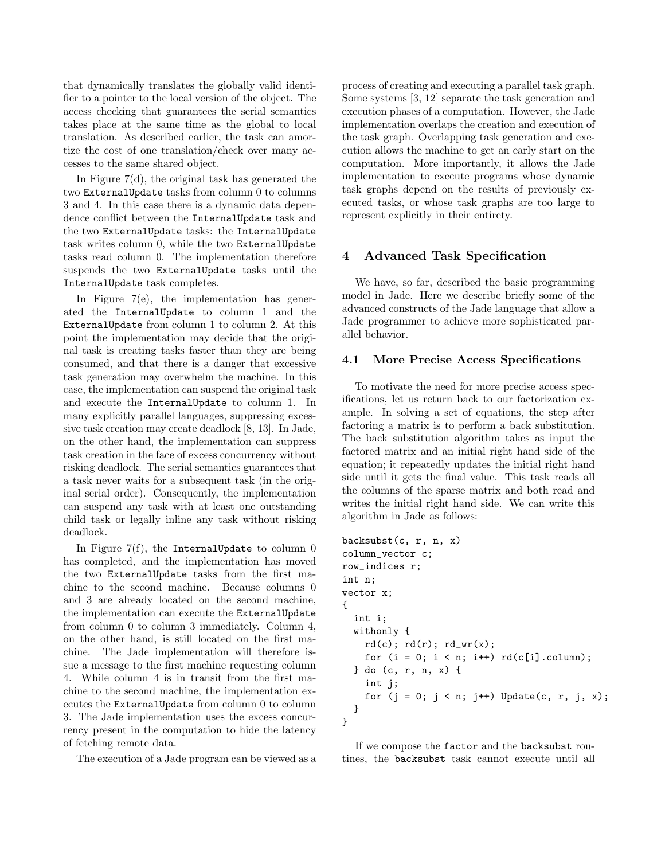that dynamically translates the globally valid identifier to a pointer to the local version of the object. The access checking that guarantees the serial semantics takes place at the same time as the global to local translation. As described earlier, the task can amortize the cost of one translation/check over many accesses to the same shared object.

In Figure 7(d), the original task has generated the two ExternalUpdate tasks from column 0 to columns 3 and 4. In this case there is a dynamic data dependence conflict between the InternalUpdate task and the two ExternalUpdate tasks: the InternalUpdate task writes column 0, while the two ExternalUpdate tasks read column 0. The implementation therefore suspends the two ExternalUpdate tasks until the InternalUpdate task completes.

In Figure 7(e), the implementation has generated the InternalUpdate to column 1 and the ExternalUpdate from column 1 to column 2. At this point the implementation may decide that the original task is creating tasks faster than they are being consumed, and that there is a danger that excessive task generation may overwhelm the machine. In this case, the implementation can suspend the original task and execute the InternalUpdate to column 1. In many explicitly parallel languages, suppressing excessive task creation may create deadlock [8, 13]. In Jade, on the other hand, the implementation can suppress task creation in the face of excess concurrency without risking deadlock. The serial semantics guarantees that a task never waits for a subsequent task (in the original serial order). Consequently, the implementation can suspend any task with at least one outstanding child task or legally inline any task without risking deadlock.

In Figure 7(f), the InternalUpdate to column  $0$ has completed, and the implementation has moved the two ExternalUpdate tasks from the first machine to the second machine. Because columns 0 and 3 are already located on the second machine, the implementation can execute the ExternalUpdate from column 0 to column 3 immediately. Column 4, on the other hand, is still located on the first machine. The Jade implementation will therefore issue a message to the first machine requesting column 4. While column 4 is in transit from the first machine to the second machine, the implementation executes the ExternalUpdate from column 0 to column 3. The Jade implementation uses the excess concurrency present in the computation to hide the latency of fetching remote data.

The execution of a Jade program can be viewed as a

process of creating and executing a parallel task graph. Some systems [3, 12] separate the task generation and execution phases of a computation. However, the Jade implementation overlaps the creation and execution of the task graph. Overlapping task generation and execution allows the machine to get an early start on the computation. More importantly, it allows the Jade implementation to execute programs whose dynamic task graphs depend on the results of previously executed tasks, or whose task graphs are too large to represent explicitly in their entirety.

### **4 Advanced Task Specification**

We have, so far, described the basic programming model in Jade. Here we describe briefly some of the advanced constructs of the Jade language that allow a Jade programmer to achieve more sophisticated parallel behavior.

#### **4.1 More Precise Access Specifications**

To motivate the need for more precise access specifications, let us return back to our factorization example. In solving a set of equations, the step after factoring a matrix is to perform a back substitution. The back substitution algorithm takes as input the factored matrix and an initial right hand side of the equation; it repeatedly updates the initial right hand side until it gets the final value. This task reads all the columns of the sparse matrix and both read and writes the initial right hand side. We can write this algorithm in Jade as follows:

```
backsubst(c, r, n, x)
column_vector c;
row_indices r;
int n;
vector x;
{
  int i;
  withonly {
    rd(c); rd(r); rd_wr(x);for (i = 0; i < n; i++) rd(c[i].column);} do (c, r, n, x) {
    int j;
    for (j = 0; j < n; j++) Update(c, r, j, x);}
}
```
If we compose the factor and the backsubst routines, the backsubst task cannot execute until all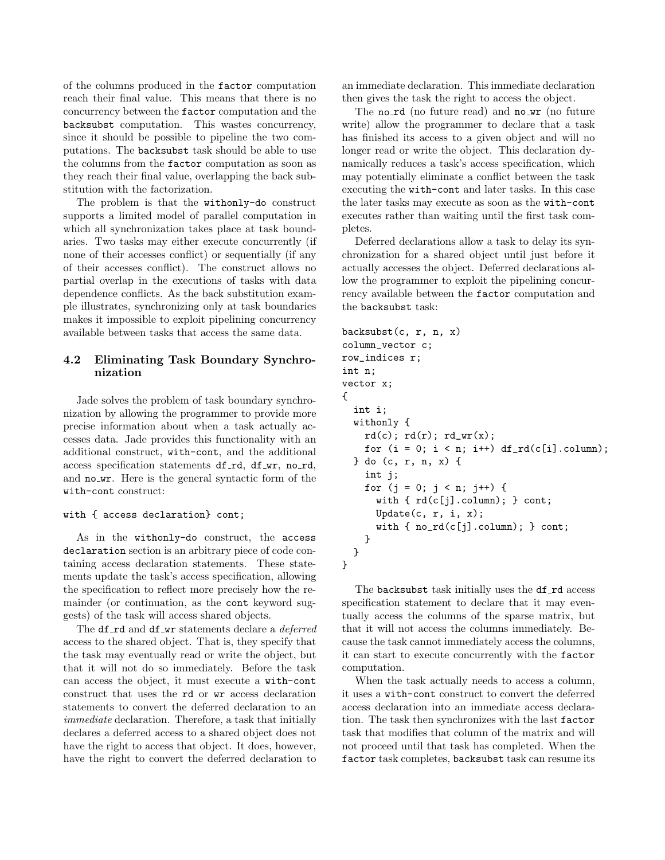of the columns produced in the factor computation reach their final value. This means that there is no concurrency between the factor computation and the backsubst computation. This wastes concurrency, since it should be possible to pipeline the two computations. The backsubst task should be able to use the columns from the factor computation as soon as they reach their final value, overlapping the back substitution with the factorization.

The problem is that the withonly-do construct supports a limited model of parallel computation in which all synchronization takes place at task boundaries. Two tasks may either execute concurrently (if none of their accesses conflict) or sequentially (if any of their accesses conflict). The construct allows no partial overlap in the executions of tasks with data dependence conflicts. As the back substitution example illustrates, synchronizing only at task boundaries makes it impossible to exploit pipelining concurrency available between tasks that access the same data.

## **4.2 Eliminating Task Boundary Synchronization**

Jade solves the problem of task boundary synchronization by allowing the programmer to provide more precise information about when a task actually accesses data. Jade provides this functionality with an additional construct, with-cont, and the additional access specification statements df rd, df wr, no rd, and no wr. Here is the general syntactic form of the with-cont construct:

#### with { access declaration} cont;

As in the withonly-do construct, the access declaration section is an arbitrary piece of code containing access declaration statements. These statements update the task's access specification, allowing the specification to reflect more precisely how the remainder (or continuation, as the cont keyword suggests) of the task will access shared objects.

The df rd and df wr statements declare a *deferred* access to the shared object. That is, they specify that the task may eventually read or write the object, but that it will not do so immediately. Before the task can access the object, it must execute a with-cont construct that uses the rd or wr access declaration statements to convert the deferred declaration to an *immediate* declaration. Therefore, a task that initially declares a deferred access to a shared object does not have the right to access that object. It does, however, have the right to convert the deferred declaration to an immediate declaration. This immediate declaration then gives the task the right to access the object.

The no\_rd (no future read) and no\_wr (no future write) allow the programmer to declare that a task has finished its access to a given object and will no longer read or write the object. This declaration dynamically reduces a task's access specification, which may potentially eliminate a conflict between the task executing the with-cont and later tasks. In this case the later tasks may execute as soon as the with-cont executes rather than waiting until the first task completes.

Deferred declarations allow a task to delay its synchronization for a shared object until just before it actually accesses the object. Deferred declarations allow the programmer to exploit the pipelining concurrency available between the factor computation and the backsubst task:

```
backsubst(c, r, n, x)column_vector c;
row_indices r;
int n;
vector x;
{
  int i;
  withonly {
    rd(c); rd(r); rd_wr(x);for (i = 0; i < n; i++) df_r d(c[i].column);} do (c, r, n, x) {
    int j;
    for (j = 0; j < n; j++) {
      with { rd(c[j].column); } cont;
      Update(c, r, i, x);
      with \{ \text{no\_rd}(c[j].\text{column}); \} \text{cont};}
  }
}
```
The backsubst task initially uses the df\_rd access specification statement to declare that it may eventually access the columns of the sparse matrix, but that it will not access the columns immediately. Because the task cannot immediately access the columns, it can start to execute concurrently with the factor computation.

When the task actually needs to access a column, it uses a with-cont construct to convert the deferred access declaration into an immediate access declaration. The task then synchronizes with the last factor task that modifies that column of the matrix and will not proceed until that task has completed. When the factor task completes, backsubst task can resume its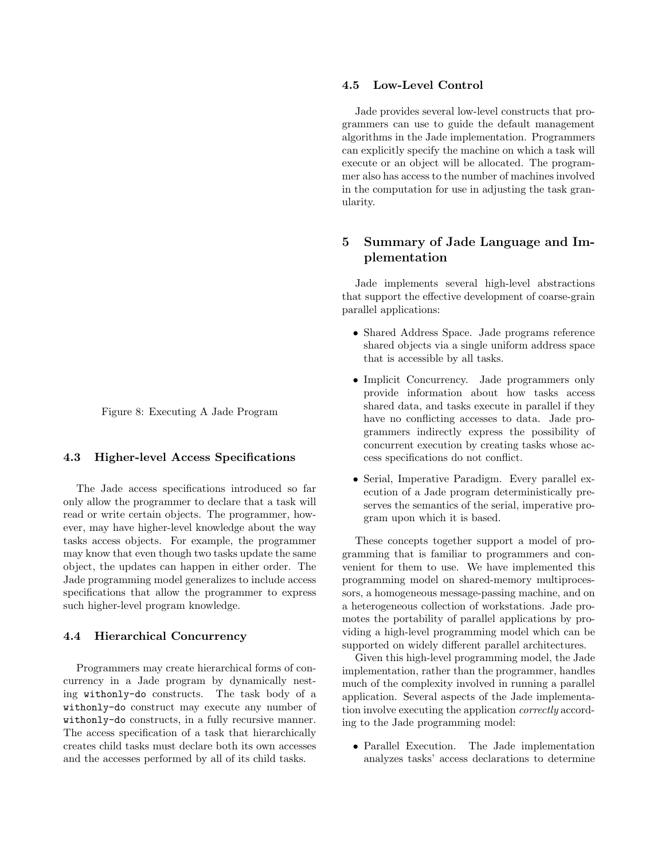#### Figure 8: Executing A Jade Program

### **4.3 Higher-level Access Specifications**

The Jade access specifications introduced so far only allow the programmer to declare that a task will read or write certain objects. The programmer, however, may have higher-level knowledge about the way tasks access objects. For example, the programmer may know that even though two tasks update the same object, the updates can happen in either order. The Jade programming model generalizes to include access specifications that allow the programmer to express such higher-level program knowledge.

#### **4.4 Hierarchical Concurrency**

Programmers may create hierarchical forms of concurrency in a Jade program by dynamically nesting withonly-do constructs. The task body of a withonly-do construct may execute any number of withonly-do constructs, in a fully recursive manner. The access specification of a task that hierarchically creates child tasks must declare both its own accesses and the accesses performed by all of its child tasks.

#### **4.5 Low-Level Control**

Jade provides several low-level constructs that programmers can use to guide the default management algorithms in the Jade implementation. Programmers can explicitly specify the machine on which a task will execute or an object will be allocated. The programmer also has access to the number of machines involved in the computation for use in adjusting the task granularity.

## **5 Summary of Jade Language and Implementation**

Jade implements several high-level abstractions that support the effective development of coarse-grain parallel applications:

- Shared Address Space. Jade programs reference shared objects via a single uniform address space that is accessible by all tasks.
- Implicit Concurrency. Jade programmers only provide information about how tasks access shared data, and tasks execute in parallel if they have no conflicting accesses to data. Jade programmers indirectly express the possibility of concurrent execution by creating tasks whose access specifications do not conflict.
- Serial, Imperative Paradigm. Every parallel execution of a Jade program deterministically preserves the semantics of the serial, imperative program upon which it is based.

These concepts together support a model of programming that is familiar to programmers and convenient for them to use. We have implemented this programming model on shared-memory multiprocessors, a homogeneous message-passing machine, and on a heterogeneous collection of workstations. Jade promotes the portability of parallel applications by providing a high-level programming model which can be supported on widely different parallel architectures.

Given this high-level programming model, the Jade implementation, rather than the programmer, handles much of the complexity involved in running a parallel application. Several aspects of the Jade implementation involve executing the application *correctly* according to the Jade programming model:

• Parallel Execution. The Jade implementation analyzes tasks' access declarations to determine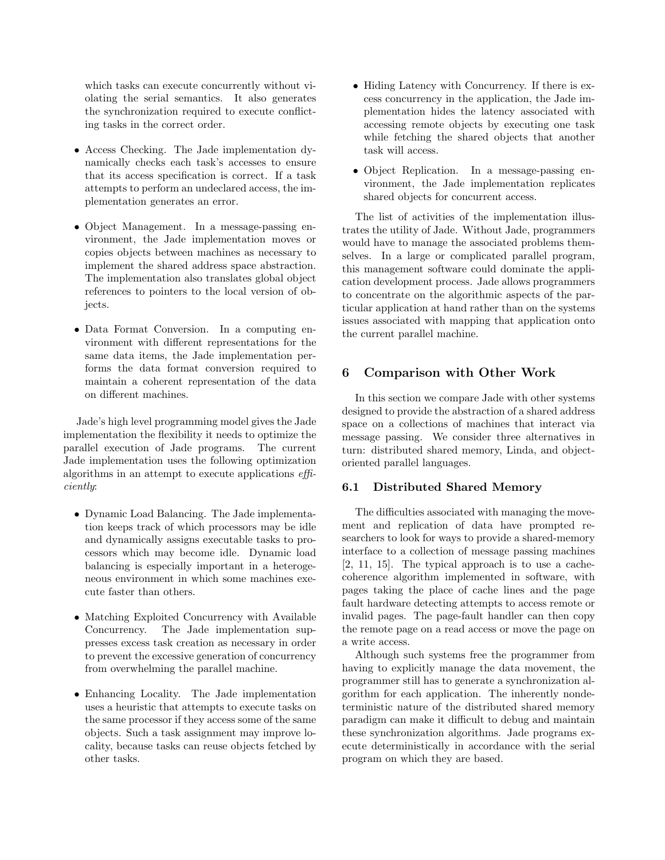which tasks can execute concurrently without violating the serial semantics. It also generates the synchronization required to execute conflicting tasks in the correct order.

- Access Checking. The Jade implementation dynamically checks each task's accesses to ensure that its access specification is correct. If a task attempts to perform an undeclared access, the implementation generates an error.
- Object Management. In a message-passing environment, the Jade implementation moves or copies objects between machines as necessary to implement the shared address space abstraction. The implementation also translates global object references to pointers to the local version of objects.
- Data Format Conversion. In a computing environment with different representations for the same data items, the Jade implementation performs the data format conversion required to maintain a coherent representation of the data on different machines.

Jade's high level programming model gives the Jade implementation the flexibility it needs to optimize the parallel execution of Jade programs. The current Jade implementation uses the following optimization algorithms in an attempt to execute applications *efficiently*:

- Dynamic Load Balancing. The Jade implementation keeps track of which processors may be idle and dynamically assigns executable tasks to processors which may become idle. Dynamic load balancing is especially important in a heterogeneous environment in which some machines execute faster than others.
- Matching Exploited Concurrency with Available Concurrency. The Jade implementation suppresses excess task creation as necessary in order to prevent the excessive generation of concurrency from overwhelming the parallel machine.
- Enhancing Locality. The Jade implementation uses a heuristic that attempts to execute tasks on the same processor if they access some of the same objects. Such a task assignment may improve locality, because tasks can reuse objects fetched by other tasks.
- Hiding Latency with Concurrency. If there is excess concurrency in the application, the Jade implementation hides the latency associated with accessing remote objects by executing one task while fetching the shared objects that another task will access.
- Object Replication. In a message-passing environment, the Jade implementation replicates shared objects for concurrent access.

The list of activities of the implementation illustrates the utility of Jade. Without Jade, programmers would have to manage the associated problems themselves. In a large or complicated parallel program, this management software could dominate the application development process. Jade allows programmers to concentrate on the algorithmic aspects of the particular application at hand rather than on the systems issues associated with mapping that application onto the current parallel machine.

## **6 Comparison with Other Work**

In this section we compare Jade with other systems designed to provide the abstraction of a shared address space on a collections of machines that interact via message passing. We consider three alternatives in turn: distributed shared memory, Linda, and objectoriented parallel languages.

## **6.1 Distributed Shared Memory**

The difficulties associated with managing the movement and replication of data have prompted researchers to look for ways to provide a shared-memory interface to a collection of message passing machines [2, 11, 15]. The typical approach is to use a cachecoherence algorithm implemented in software, with pages taking the place of cache lines and the page fault hardware detecting attempts to access remote or invalid pages. The page-fault handler can then copy the remote page on a read access or move the page on a write access.

Although such systems free the programmer from having to explicitly manage the data movement, the programmer still has to generate a synchronization algorithm for each application. The inherently nondeterministic nature of the distributed shared memory paradigm can make it difficult to debug and maintain these synchronization algorithms. Jade programs execute deterministically in accordance with the serial program on which they are based.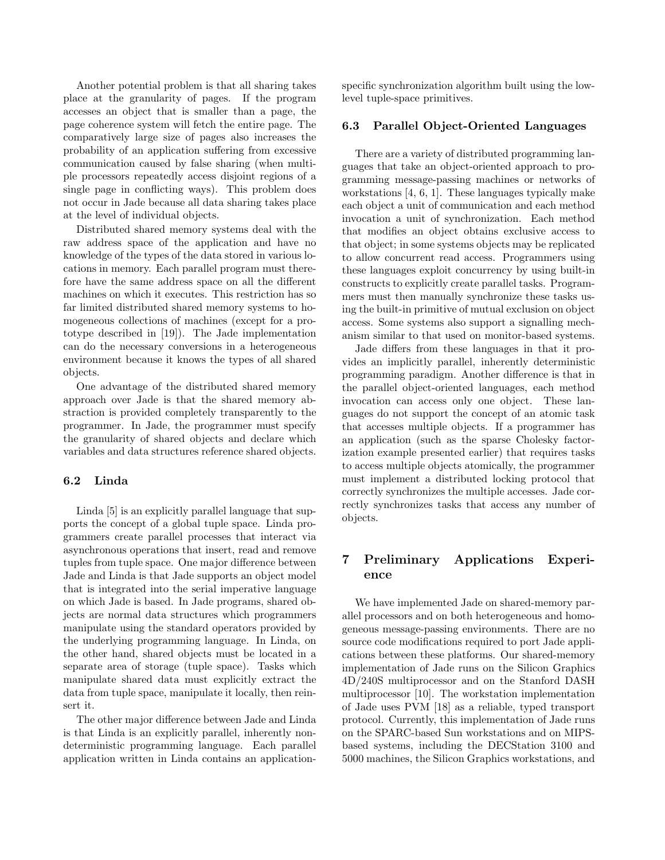Another potential problem is that all sharing takes place at the granularity of pages. If the program accesses an object that is smaller than a page, the page coherence system will fetch the entire page. The comparatively large size of pages also increases the probability of an application suffering from excessive communication caused by false sharing (when multiple processors repeatedly access disjoint regions of a single page in conflicting ways). This problem does not occur in Jade because all data sharing takes place at the level of individual objects.

Distributed shared memory systems deal with the raw address space of the application and have no knowledge of the types of the data stored in various locations in memory. Each parallel program must therefore have the same address space on all the different machines on which it executes. This restriction has so far limited distributed shared memory systems to homogeneous collections of machines (except for a prototype described in [19]). The Jade implementation can do the necessary conversions in a heterogeneous environment because it knows the types of all shared objects.

One advantage of the distributed shared memory approach over Jade is that the shared memory abstraction is provided completely transparently to the programmer. In Jade, the programmer must specify the granularity of shared objects and declare which variables and data structures reference shared objects.

### **6.2 Linda**

Linda [5] is an explicitly parallel language that supports the concept of a global tuple space. Linda programmers create parallel processes that interact via asynchronous operations that insert, read and remove tuples from tuple space. One major difference between Jade and Linda is that Jade supports an object model that is integrated into the serial imperative language on which Jade is based. In Jade programs, shared objects are normal data structures which programmers manipulate using the standard operators provided by the underlying programming language. In Linda, on the other hand, shared objects must be located in a separate area of storage (tuple space). Tasks which manipulate shared data must explicitly extract the data from tuple space, manipulate it locally, then reinsert it.

The other major difference between Jade and Linda is that Linda is an explicitly parallel, inherently nondeterministic programming language. Each parallel application written in Linda contains an applicationspecific synchronization algorithm built using the lowlevel tuple-space primitives.

### **6.3 Parallel Object-Oriented Languages**

There are a variety of distributed programming languages that take an object-oriented approach to programming message-passing machines or networks of workstations [4, 6, 1]. These languages typically make each object a unit of communication and each method invocation a unit of synchronization. Each method that modifies an object obtains exclusive access to that object; in some systems objects may be replicated to allow concurrent read access. Programmers using these languages exploit concurrency by using built-in constructs to explicitly create parallel tasks. Programmers must then manually synchronize these tasks using the built-in primitive of mutual exclusion on object access. Some systems also support a signalling mechanism similar to that used on monitor-based systems.

Jade differs from these languages in that it provides an implicitly parallel, inherently deterministic programming paradigm. Another difference is that in the parallel object-oriented languages, each method invocation can access only one object. These languages do not support the concept of an atomic task that accesses multiple objects. If a programmer has an application (such as the sparse Cholesky factorization example presented earlier) that requires tasks to access multiple objects atomically, the programmer must implement a distributed locking protocol that correctly synchronizes the multiple accesses. Jade correctly synchronizes tasks that access any number of objects.

# **7 Preliminary Applications Experience**

We have implemented Jade on shared-memory parallel processors and on both heterogeneous and homogeneous message-passing environments. There are no source code modifications required to port Jade applications between these platforms. Our shared-memory implementation of Jade runs on the Silicon Graphics 4D/240S multiprocessor and on the Stanford DASH multiprocessor [10]. The workstation implementation of Jade uses PVM [18] as a reliable, typed transport protocol. Currently, this implementation of Jade runs on the SPARC-based Sun workstations and on MIPSbased systems, including the DECStation 3100 and 5000 machines, the Silicon Graphics workstations, and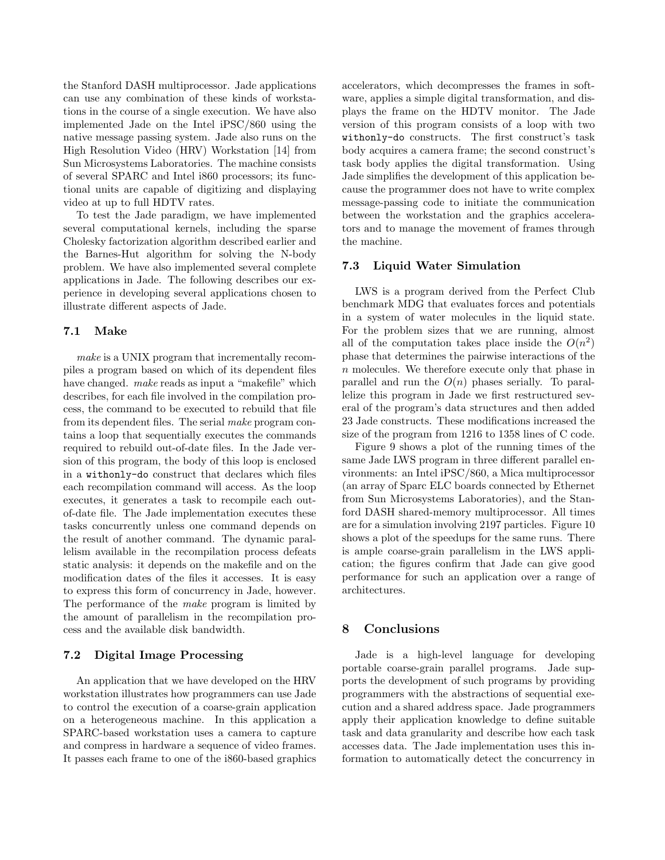the Stanford DASH multiprocessor. Jade applications can use any combination of these kinds of workstations in the course of a single execution. We have also implemented Jade on the Intel iPSC/860 using the native message passing system. Jade also runs on the High Resolution Video (HRV) Workstation [14] from Sun Microsystems Laboratories. The machine consists of several SPARC and Intel i860 processors; its functional units are capable of digitizing and displaying video at up to full HDTV rates.

To test the Jade paradigm, we have implemented several computational kernels, including the sparse Cholesky factorization algorithm described earlier and the Barnes-Hut algorithm for solving the N-body problem. We have also implemented several complete applications in Jade. The following describes our experience in developing several applications chosen to illustrate different aspects of Jade.

### **7.1 Make**

*make* is a UNIX program that incrementally recompiles a program based on which of its dependent files have changed. *make* reads as input a "makefile" which describes, for each file involved in the compilation process, the command to be executed to rebuild that file from its dependent files. The serial *make* program contains a loop that sequentially executes the commands required to rebuild out-of-date files. In the Jade version of this program, the body of this loop is enclosed in a withonly-do construct that declares which files each recompilation command will access. As the loop executes, it generates a task to recompile each outof-date file. The Jade implementation executes these tasks concurrently unless one command depends on the result of another command. The dynamic parallelism available in the recompilation process defeats static analysis: it depends on the makefile and on the modification dates of the files it accesses. It is easy to express this form of concurrency in Jade, however. The performance of the *make* program is limited by the amount of parallelism in the recompilation process and the available disk bandwidth.

### **7.2 Digital Image Processing**

An application that we have developed on the HRV workstation illustrates how programmers can use Jade to control the execution of a coarse-grain application on a heterogeneous machine. In this application a SPARC-based workstation uses a camera to capture and compress in hardware a sequence of video frames. It passes each frame to one of the i860-based graphics accelerators, which decompresses the frames in software, applies a simple digital transformation, and displays the frame on the HDTV monitor. The Jade version of this program consists of a loop with two withonly-do constructs. The first construct's task body acquires a camera frame; the second construct's task body applies the digital transformation. Using Jade simplifies the development of this application because the programmer does not have to write complex message-passing code to initiate the communication between the workstation and the graphics accelerators and to manage the movement of frames through the machine.

#### **7.3 Liquid Water Simulation**

LWS is a program derived from the Perfect Club benchmark MDG that evaluates forces and potentials in a system of water molecules in the liquid state. For the problem sizes that we are running, almost all of the computation takes place inside the  $O(n^2)$ phase that determines the pairwise interactions of the n molecules. We therefore execute only that phase in parallel and run the  $O(n)$  phases serially. To parallelize this program in Jade we first restructured several of the program's data structures and then added 23 Jade constructs. These modifications increased the size of the program from 1216 to 1358 lines of C code.

Figure 9 shows a plot of the running times of the same Jade LWS program in three different parallel environments: an Intel iPSC/860, a Mica multiprocessor (an array of Sparc ELC boards connected by Ethernet from Sun Microsystems Laboratories), and the Stanford DASH shared-memory multiprocessor. All times are for a simulation involving 2197 particles. Figure 10 shows a plot of the speedups for the same runs. There is ample coarse-grain parallelism in the LWS application; the figures confirm that Jade can give good performance for such an application over a range of architectures.

## **8 Conclusions**

Jade is a high-level language for developing portable coarse-grain parallel programs. Jade supports the development of such programs by providing programmers with the abstractions of sequential execution and a shared address space. Jade programmers apply their application knowledge to define suitable task and data granularity and describe how each task accesses data. The Jade implementation uses this information to automatically detect the concurrency in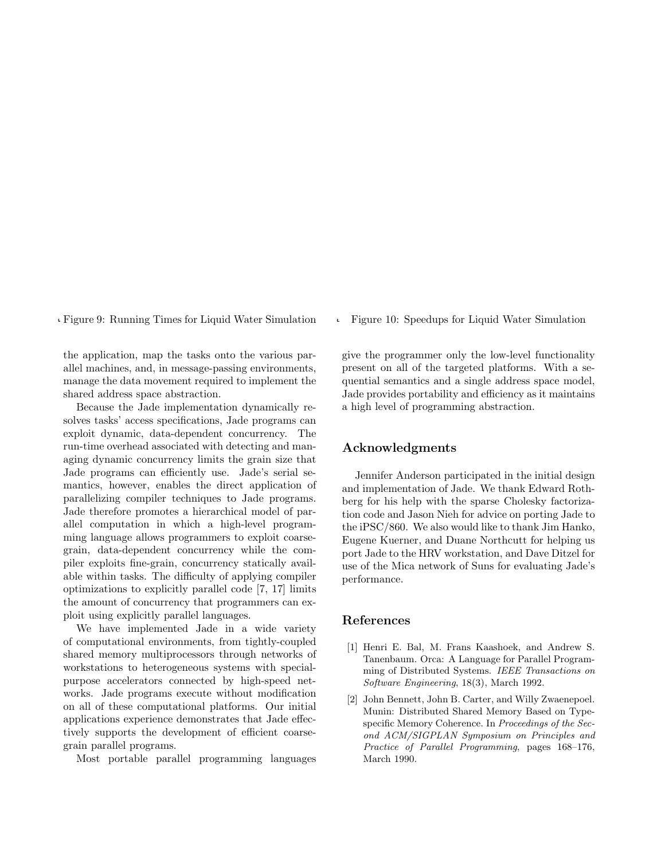Figure 9: Running Times for Liquid Water Simulation

the application, map the tasks onto the various parallel machines, and, in message-passing environments, manage the data movement required to implement the shared address space abstraction.

Because the Jade implementation dynamically resolves tasks' access specifications, Jade programs can exploit dynamic, data-dependent concurrency. The run-time overhead associated with detecting and managing dynamic concurrency limits the grain size that Jade programs can efficiently use. Jade's serial semantics, however, enables the direct application of parallelizing compiler techniques to Jade programs. Jade therefore promotes a hierarchical model of parallel computation in which a high-level programming language allows programmers to exploit coarsegrain, data-dependent concurrency while the compiler exploits fine-grain, concurrency statically available within tasks. The difficulty of applying compiler optimizations to explicitly parallel code [7, 17] limits the amount of concurrency that programmers can exploit using explicitly parallel languages.

We have implemented Jade in a wide variety of computational environments, from tightly-coupled shared memory multiprocessors through networks of workstations to heterogeneous systems with specialpurpose accelerators connected by high-speed networks. Jade programs execute without modification on all of these computational platforms. Our initial applications experience demonstrates that Jade effectively supports the development of efficient coarsegrain parallel programs.

Most portable parallel programming languages

 iPSC/860 Sparc ELCsDASH **<sup>0</sup> <sup>4812</sup> <sup>16202428</sup> <sup>32</sup>** <sup>|</sup> **<sup>0</sup> <sup>4</sup> 81216**| **20 242832** Number of Processors Speedup Figure 10: Speedups for Liquid Water Simulation

give the programmer only the low-level functionality present on all of the targeted platforms. With a sequential semantics and a single address space model, Jade provides portability and efficiency as it maintains a high level of programming abstraction.

## **Acknowledgments**

Jennifer Anderson participated in the initial design and implementation of Jade. We thank Edward Rothberg for his help with the sparse Cholesky factorization code and Jason Nieh for advice on porting Jade to the iPSC/860. We also would like to thank Jim Hanko, Eugene Kuerner, and Duane Northcutt for helping us port Jade to the HRV workstation, and Dave Ditzel for use of the Mica network of Suns for evaluating Jade's performance.

## **References**

- [1] Henri E. Bal, M. Frans Kaashoek, and Andrew S. Tanenbaum. Orca: A Language for Parallel Programming of Distributed Systems. IEEE Transactions on Software Engineering, 18(3), March 1992.
- [2] John Bennett, John B. Carter, and Willy Zwaenepoel. Munin: Distributed Shared Memory Based on Typespecific Memory Coherence. In Proceedings of the Second ACM/SIGPLAN Symposium on Principles and Practice of Parallel Programming, pages 168–176, March 1990.